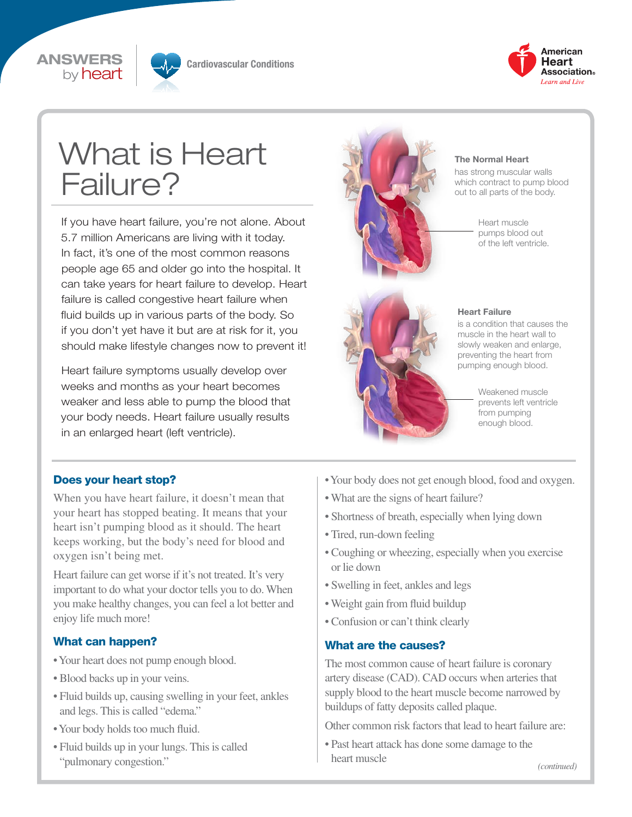



**Cardiovascular Conditions**



# What is Heart Failure?

If you have heart failure, you're not alone. About 5.7 million Americans are living with it today. In fact, it's one of the most common reasons people age 65 and older go into the hospital. It can take years for heart failure to develop. Heart failure is called congestive heart failure when fluid builds up in various parts of the body. So if you don't yet have it but are at risk for it, you should make lifestyle changes now to prevent it!

Heart failure symptoms usually develop over weeks and months as your heart becomes weaker and less able to pump the blood that your body needs. Heart failure usually results in an enlarged heart (left ventricle).



#### **The Normal Heart**

has strong muscular walls which contract to pump blood out to all parts of the body.

> Heart muscle pumps blood out of the left ventricle.



#### **Heart Failure**

is a condition that causes the muscle in the heart wall to slowly weaken and enlarge, preventing the heart from pumping enough blood.

> Weakened muscle prevents left ventricle from pumping enough blood.

#### Does your heart stop?

When you have heart failure, it doesn't mean that your heart has stopped beating. It means that your heart isn't pumping blood as it should. The heart keeps working, but the body's need for blood and oxygen isn't being met.

Heart failure can get worse if it's not treated. It's very important to do what your doctor tells you to do. When you make healthy changes, you can feel a lot better and enjoy life much more!

#### What can happen?

- Your heart does not pump enough blood.
- Blood backs up in your veins.
- Fluid builds up, causing swelling in your feet, ankles and legs. This is called "edema."
- Your body holds too much fluid.
- Fluid builds up in your lungs. This is called "pulmonary congestion."
- Your body does not get enough blood, food and oxygen.
- What are the signs of heart failure?
- Shortness of breath, especially when lying down
- Tired, run-down feeling
- Coughing or wheezing, especially when you exercise or lie down
- Swelling in feet, ankles and legs
- Weight gain from fluid buildup
- Confusion or can't think clearly

#### What are the causes?

The most common cause of heart failure is coronary artery disease (CAD). CAD occurs when arteries that supply blood to the heart muscle become narrowed by buildups of fatty deposits called plaque.

Other common risk factors that lead to heart failure are:

• Past heart attack has done some damage to the heart muscle

*(continued)*